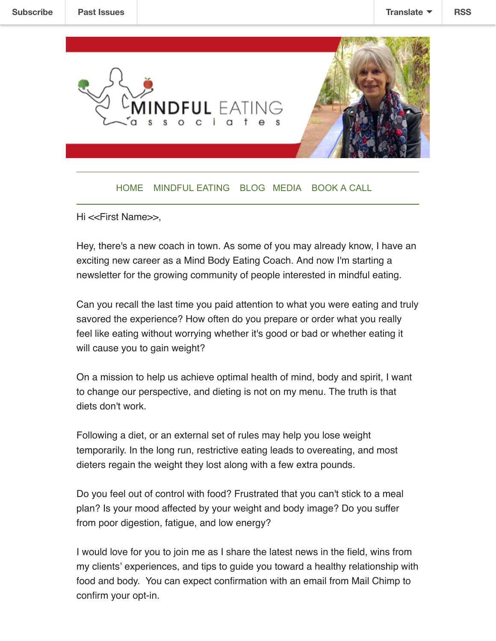

## [HOME](https://www.mbecoach.com/) [MINDFUL EATING](https://www.mbecoach.com/services) [BLOG](https://www.mbecoach.com/blog) [MEDIA](https://www.mbecoach.com/in-the-news) [BOOK A CALL](https://www.mbecoach.com/book-and-appointment)

Hi <<First Name>>,

Hey, there's a new coach in town. As some of you may already know, I have an exciting new career as a Mind Body Eating Coach. And now I'm starting a newsletter for the growing community of people interested in mindful eating.

Can you recall the last time you paid attention to what you were eating and truly savored the experience? How often do you prepare or order what you really feel like eating without worrying whether it's good or bad or whether eating it will cause you to gain weight?

On a mission to help us achieve optimal health of mind, body and spirit, I want to change our perspective, and dieting is not on my menu. The truth is that diets don't work.

Following a diet, or an external set of rules may help you lose weight temporarily. In the long run, restrictive eating leads to overeating, and most dieters regain the weight they lost along with a few extra pounds.

Do you feel out of control with food? Frustrated that you can't stick to a meal plan? Is your mood affected by your weight and body image? Do you suffer from poor digestion, fatigue, and low energy?

I would love for you to join me as I share the latest news in the field, wins from my clients' experiences, and tips to guide you toward a healthy relationship with food and body. You can expect confirmation with an email from Mail Chimp to confirm your opt-in.